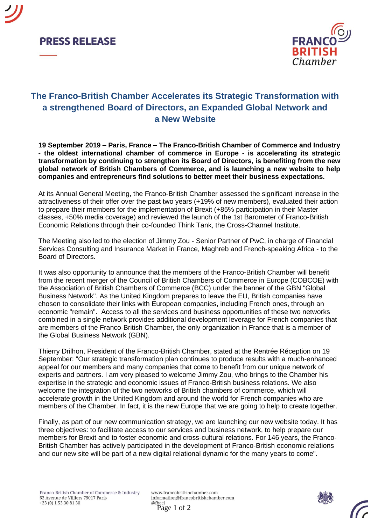



## **The Franco-British Chamber Accelerates its Strategic Transformation with a strengthened Board of Directors, an Expanded Global Network and a New Website**

**19 September 2019 – Paris, France – The Franco-British Chamber of Commerce and Industry - the oldest international chamber of commerce in Europe - is accelerating its strategic transformation by continuing to strengthen its Board of Directors, is benefiting from the new global network of British Chambers of Commerce, and is launching a new website to help companies and entrepreneurs find solutions to better meet their business expectations.**

At its Annual General Meeting, the Franco-British Chamber assessed the significant increase in the attractiveness of their offer over the past two years (+19% of new members), evaluated their action to prepare their members for the implementation of Brexit (+85% participation in their Master classes, +50% media coverage) and reviewed the launch of the 1st Barometer of Franco-British Economic Relations through their co-founded Think Tank, the Cross-Channel Institute.

The Meeting also led to the election of Jimmy Zou - Senior Partner of PwC, in charge of Financial Services Consulting and Insurance Market in France, Maghreb and French-speaking Africa - to the Board of Directors.

It was also opportunity to announce that the members of the Franco-British Chamber will benefit from the recent merger of the Council of British Chambers of Commerce in Europe (COBCOE) with the Association of British Chambers of Commerce (BCC) under the banner of the GBN "Global Business Network". As the United Kingdom prepares to leave the EU, British companies have chosen to consolidate their links with European companies, including French ones, through an economic "remain". Access to all the services and business opportunities of these two networks combined in a single network provides additional development leverage for French companies that are members of the Franco-British Chamber, the only organization in France that is a member of the Global Business Network (GBN).

Thierry Drilhon, President of the Franco-British Chamber, stated at the Rentrée Réception on 19 September: "Our strategic transformation plan continues to produce results with a much-enhanced appeal for our members and many companies that come to benefit from our unique network of experts and partners. I am very pleased to welcome Jimmy Zou, who brings to the Chamber his expertise in the strategic and economic issues of Franco-British business relations. We also welcome the integration of the two networks of British chambers of commerce, which will accelerate growth in the United Kingdom and around the world for French companies who are members of the Chamber. In fact, it is the new Europe that we are going to help to create together.

Finally, as part of our new communication strategy, we are launching our new website today. It has three objectives: to facilitate access to our services and business network, to help prepare our members for Brexit and to foster economic and cross-cultural relations. For 146 years, the Franco-British Chamber has actively participated in the development of Franco-British economic relations and our new site will be part of a new digital relational dynamic for the many years to come".

www.francobritishchamber.com information@francobritishchamber.com Page 1 of 2